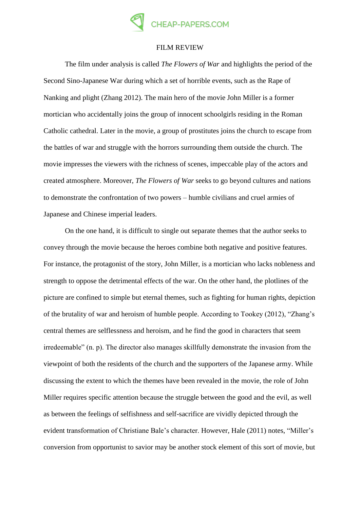

## FILM REVIEW

The film under analysis is called *The Flowers of War* and highlights the period of the Second Sino-Japanese War during which a set of horrible events, such as the Rape of Nanking and plight (Zhang 2012). The main hero of the movie John Miller is a former mortician who accidentally joins the group of innocent schoolgirls residing in the Roman Catholic cathedral. Later in the movie, a group of prostitutes joins the church to escape from the battles of war and struggle with the horrors surrounding them outside the church. The movie impresses the viewers with the richness of scenes, impeccable play of the actors and created atmosphere. Moreover, *The Flowers of War* seeks to go beyond cultures and nations to demonstrate the confrontation of two powers – humble civilians and cruel armies of Japanese and Chinese imperial leaders.

On the one hand, it is difficult to single out separate themes that the author seeks to convey through the movie because the heroes combine both negative and positive features. For instance, the protagonist of the story, John Miller, is a mortician who lacks nobleness and strength to oppose the detrimental effects of the war. On the other hand, the plotlines of the picture are confined to simple but eternal themes, such as fighting for human rights, depiction of the brutality of war and heroism of humble people. According to Tookey (2012), "Zhang's central themes are selflessness and heroism, and he find the good in characters that seem irredeemable" (n. p). The director also manages skillfully demonstrate the invasion from the viewpoint of both the residents of the church and the supporters of the Japanese army. While discussing the extent to which the themes have been revealed in the movie, the role of John Miller requires specific attention because the struggle between the good and the evil, as well as between the feelings of selfishness and self-sacrifice are vividly depicted through the evident transformation of Christiane Bale's character. However, Hale (2011) notes, "Miller's conversion from opportunist to savior may be another stock element of this sort of movie, but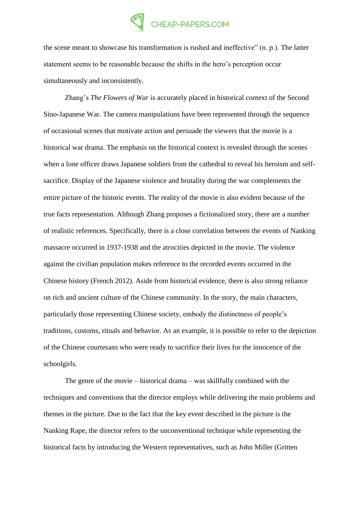## CHEAP-PAPERS.COM

the scene meant to showcase his transformation is rushed and ineffective" (n. p.). The latter statement seems to be reasonable because the shifts in the hero's perception occur simultaneously and inconsistently.

Zhang's *The Flowers of War* is accurately placed in historical context of the Second Sino-Japanese War. The camera manipulations have been represented through the sequence of occasional scenes that motivate action and persuade the viewers that the movie is a historical war drama. The emphasis on the historical context is revealed through the scenes when a lone officer draws Japanese soldiers from the cathedral to reveal his heroism and selfsacrifice. Display of the Japanese violence and brutality during the war complements the entire picture of the historic events. The reality of the movie is also evident because of the true facts representation. Although Zhang proposes a fictionalized story, there are a number of realistic references. Specifically, there is a close correlation between the events of Nanking massacre occurred in 1937-1938 and the atrocities depicted in the movie. The violence against the civilian population makes reference to the recorded events occurred in the Chinese history (French 2012). Aside from historical evidence, there is also strong reliance on rich and ancient culture of the Chinese community. In the story, the main characters, particularly those representing Chinese society, embody the distinctness of people's traditions, customs, rituals and behavior. As an example, it is possible to refer to the depiction of the Chinese courtesans who were ready to sacrifice their lives for the innocence of the schoolgirls.

The genre of the movie – historical drama – was skillfully combined with the techniques and conventions that the director employs while delivering the main problems and themes in the picture. Due to the fact that the key event described in the picture is the Nanking Rape, the director refers to the unconventional technique while representing the historical facts by introducing the Western representatives, such as John Miller (Gritten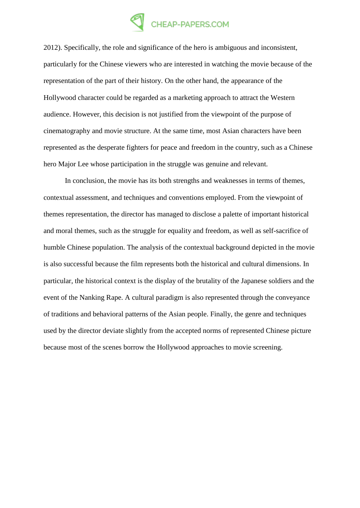## CHEAP-PAPERS.COM

2012). Specifically, the role and significance of the hero is ambiguous and inconsistent, particularly for the Chinese viewers who are interested in watching the movie because of the representation of the part of their history. On the other hand, the appearance of the Hollywood character could be regarded as a marketing approach to attract the Western audience. However, this decision is not justified from the viewpoint of the purpose of cinematography and movie structure. At the same time, most Asian characters have been represented as the desperate fighters for peace and freedom in the country, such as a Chinese hero Major Lee whose participation in the struggle was genuine and relevant.

In conclusion, the movie has its both strengths and weaknesses in terms of themes, contextual assessment, and techniques and conventions employed. From the viewpoint of themes representation, the director has managed to disclose a palette of important historical and moral themes, such as the struggle for equality and freedom, as well as self-sacrifice of humble Chinese population. The analysis of the contextual background depicted in the movie is also successful because the film represents both the historical and cultural dimensions. In particular, the historical context is the display of the brutality of the Japanese soldiers and the event of the Nanking Rape. A cultural paradigm is also represented through the conveyance of traditions and behavioral patterns of the Asian people. Finally, the genre and techniques used by the director deviate slightly from the accepted norms of represented Chinese picture because most of the scenes borrow the Hollywood approaches to movie screening.